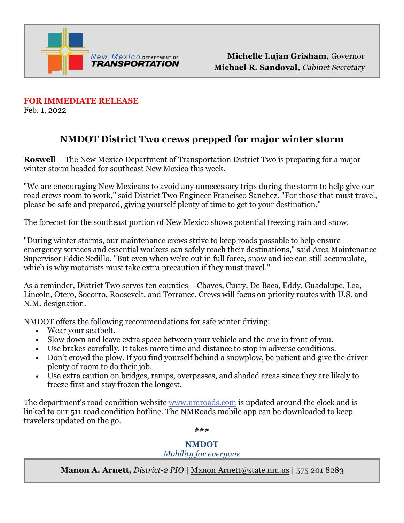

**FOR IMMEDIATE RELEASE**  Feb. 1, 2022

## **NMDOT District Two crews prepped for major winter storm**

**Roswell** – The New Mexico Department of Transportation District Two is preparing for a major winter storm headed for southeast New Mexico this week.

"We are encouraging New Mexicans to avoid any unnecessary trips during the storm to help give our road crews room to work," said District Two Engineer Francisco Sanchez. "For those that must travel, please be safe and prepared, giving yourself plenty of time to get to your destination."

The forecast for the southeast portion of New Mexico shows potential freezing rain and snow.

"During winter storms, our maintenance crews strive to keep roads passable to help ensure emergency services and essential workers can safely reach their destinations," said Area Maintenance Supervisor Eddie Sedillo. "But even when we're out in full force, snow and ice can still accumulate, which is why motorists must take extra precaution if they must travel."

As a reminder, District Two serves ten counties – Chaves, Curry, De Baca, Eddy, Guadalupe, Lea, Lincoln, Otero, Socorro, Roosevelt, and Torrance. Crews will focus on priority routes with U.S. and N.M. designation.

NMDOT offers the following recommendations for safe winter driving:

- Wear your seatbelt.
- Slow down and leave extra space between your vehicle and the one in front of you.
- Use brakes carefully. It takes more time and distance to stop in adverse conditions.
- Don't crowd the plow. If you find yourself behind a snowplow, be patient and give the driver plenty of room to do their job.
- Use extra caution on bridges, ramps, overpasses, and shaded areas since they are likely to freeze first and stay frozen the longest.

The department's road condition website [www.nmroads.com](http://www.nmroads.com/) is updated around the clock and is linked to our 511 road condition hotline. The NMRoads mobile app can be downloaded to keep travelers updated on the go.

###

## **NMDOT**

## *Mobility for everyone*

**Manon A. Arnett, District-2 PIO** | Manon.Arnett@state.nm.us | 575 201 8283